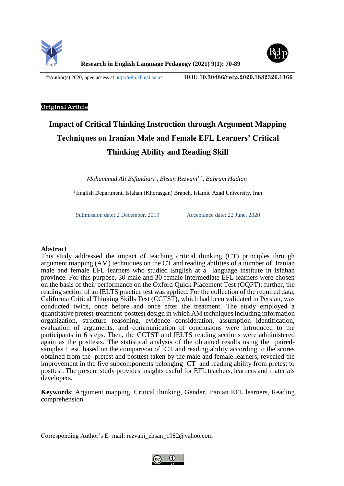



©Author(s) 2020, open access at<http://relp.khuisf.ac.ir/> **DOI: [10.30486/relp.2020.1882326.1166](http://dx.doi.org/10.30486/relp.2020.1882326.1166)**

## **Original Article**

# **Impact of Critical Thinking Instruction through Argument Mapping Techniques on Iranian Male and Female EFL Learners' Critical Thinking Ability and Reading Skill**

*Mohammad Ali Esfandiari<sup>1</sup> , Ehsan Rezvani1,\*, Bahram Hadian<sup>1</sup>*

<sup>1</sup> English Department, Isfahan (Khorasgan) Branch, Islamic Azad University, Iran

Submission date: 2 December, 2019 Acceptance date: 22 June, 2020

## **Abstract**

This study addressed the impact of teaching critical thinking (CT) principles through argument mapping (AM) techniques on the CT and reading abilities of a number of Iranian male and female EFL learners who studied English at a language institute in Isfahan province. For this purpose, 30 male and 30 female intermediate EFL learners were chosen on the basis of their performance on the Oxford Quick Placement Test (OQPT); further, the reading section of an IELTS practice test was applied. For the collection of the required data, California Critical Thinking Skills Test (CCTST), which had been validated in Persian, was conducted twice, once before and once after the treatment. The study employed a quantitative pretest-treatment-posttest design in which AM techniques including information organization, structure reasoning, evidence consideration, assumption identification, evaluation of arguments, and communication of conclusions were introduced to the participants in 6 steps. Then, the CCTST and IELTS reading sections were administered again as the posttests. The statistical analysis of the obtained results using the pairedsamples t test, based on the comparison of CT and reading ability according to the scores obtained from the pretest and posttest taken by the male and female learners, revealed the improvement in the five subcomponents belonging CT and reading ability from pretest to posttest. The present study provides insights useful for EFL teachers, learners and materials developers.

**Keywords**: Argument mapping, Critical thinking, Gender, Iranian EFL learners, Reading comprehension

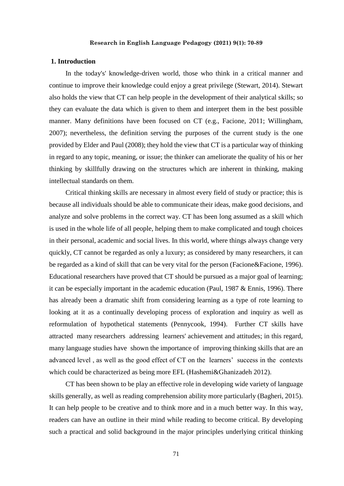### **1. Introduction**

In the today's' knowledge-driven world, those who think in a critical manner and continue to improve their knowledge could enjoy a great privilege (Stewart, 2014). Stewart also holds the view that CT can help people in the development of their analytical skills; so they can evaluate the data which is given to them and interpret them in the best possible manner. Many definitions have been focused on CT (e.g., Facione, 2011; Willingham, 2007); nevertheless, the definition serving the purposes of the current study is the one provided by Elder and Paul (2008); they hold the view that CT is a particular way of thinking in regard to any topic, meaning, or issue; the thinker can ameliorate the quality of his or her thinking by skillfully drawing on the structures which are inherent in thinking, making intellectual standards on them.

Critical thinking skills are necessary in almost every field of study or practice; this is because all individuals should be able to communicate their ideas, make good decisions, and analyze and solve problems in the correct way. CT has been long assumed as a skill which is used in the whole life of all people, helping them to make complicated and tough choices in their personal, academic and social lives. In this world, where things always change very quickly, CT cannot be regarded as only a luxury; as considered by many researchers, it can be regarded as a kind of skill that can be very vital for the person (Facione&Facione, 1996). Educational researchers have proved that CT should be pursued as a major goal of learning; it can be especially important in the academic education (Paul, 1987 & Ennis, 1996). There has already been a dramatic shift from considering learning as a type of rote learning to looking at it as a continually developing process of exploration and inquiry as well as reformulation of hypothetical statements (Pennycook, 1994). Further CT skills have attracted many researchers addressing learners' achievement and attitudes; in this regard, many language studies have shown the importance of improving thinking skills that are an advanced level , as well as the good effect of CT on the learners' success in the contexts which could be characterized as being more EFL (Hashemi&Ghanizadeh 2012).

CT has been shown to be play an effective role in developing wide variety of language skills generally, as well as reading comprehension ability more particularly (Bagheri, 2015). It can help people to be creative and to think more and in a much better way. In this way, readers can have an outline in their mind while reading to become critical. By developing such a practical and solid background in the major principles underlying critical thinking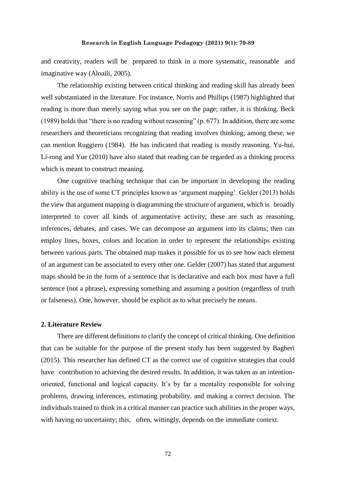and creativity, readers will be prepared to think in a more systematic, reasonable and imaginative way (Aloaili, 2005).

The relationship existing between critical thinking and reading skill has already been well substantiated in the literature. For instance, Norris and Phillips (1987) highlighted that reading is more than merely saying what you see on the page; rather, it is thinking. Beck (1989) holds that "there is no reading without reasoning" (p. 677). In addition, there are some researchers and theoreticians recognizing that reading involves thinking; among these, we can mention Ruggiero (1984). He has indicated that reading is mostly reasoning. Yu-hui, Li-rong and Yue (2010) have also stated that reading can be regarded as a thinking process which is meant to construct meaning.

One cognitive teaching technique that can be important in developing the reading ability is the use of some CT principles known as 'argument mapping'. Gelder (2013) holds the view that argument mapping is diagramming the structure of argument, which is broadly interpreted to cover all kinds of argumentative activity; these are such as reasoning, inferences, debates, and cases. We can decompose an argument into its claims; then can employ lines, boxes, colors and location in order to represent the relationships existing between various parts. The obtained map makes it possible for us to see how each element of an argument can be associated to every other one. Gelder (2007) has stated that argument maps should be in the form of a sentence that is declarative and each box must have a full sentence (not a phrase), expressing something and assuming a position (regardless of truth or falseness). One, however, should be explicit as to what precisely he means.

#### **2. Literature Review**

There are different definitions to clarify the concept of critical thinking. One definition that can be suitable for the purpose of the present study has been suggested by Bagheri (2015). This researcher has defined CT as the correct use of cognitive strategies that could have contribution to achieving the desired results. In addition, it was taken as an intentionoriented, functional and logical capacity. It's by far a mentality responsible for solving problems, drawing inferences, estimating probability, and making a correct decision. The individuals trained to think in a critical manner can practice such abilities in the proper ways, with having no uncertainty; this, often, wittingly, depends on the immediate context.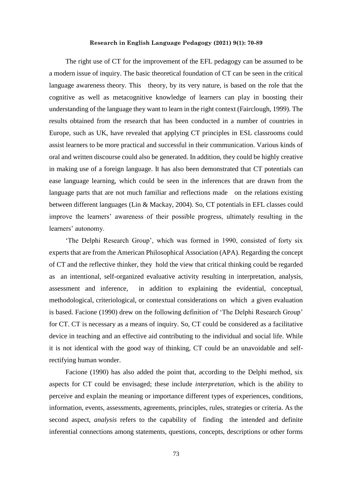The right use of CT for the improvement of the EFL pedagogy can be assumed to be a modern issue of inquiry. The basic theoretical foundation of CT can be seen in the critical language awareness theory. This theory, by its very nature, is based on the role that the cognitive as well as metacognitive knowledge of learners can play in boosting their understanding of the language they want to learn in the right context (Fairclough, 1999). The results obtained from the research that has been conducted in a number of countries in Europe, such as UK, have revealed that applying CT principles in ESL classrooms could assist learners to be more practical and successful in their communication. Various kinds of oral and written discourse could also be generated. In addition, they could be highly creative in making use of a foreign language. It has also been demonstrated that CT potentials can ease language learning, which could be seen in the inferences that are drawn from the language parts that are not much familiar and reflections made on the relations existing between different languages (Lin & Mackay, 2004). So, CT potentials in EFL classes could improve the learners' awareness of their possible progress, ultimately resulting in the learners' autonomy.

'The Delphi Research Group', which was formed in 1990, consisted of forty six experts that are from the American Philosophical Association (APA). Regarding the concept of CT and the reflective thinker, they hold the view that critical thinking could be regarded as an intentional, self-organized evaluative activity resulting in interpretation, analysis, assessment and inference, in addition to explaining the evidential, conceptual, methodological, criteriological, or contextual considerations on which a given evaluation is based. Facione (1990) drew on the following definition of 'The Delphi Research Group' for CT. CT is necessary as a means of inquiry. So, CT could be considered as a facilitative device in teaching and an effective aid contributing to the individual and social life. While it is not identical with the good way of thinking, CT could be an unavoidable and selfrectifying human wonder.

Facione (1990) has also added the point that, according to the Delphi method, six aspects for CT could be envisaged; these include *interpretation*, which is the ability to perceive and explain the meaning or importance different types of experiences, conditions, information, events, assessments, agreements, principles, rules, strategies or criteria. As the second aspect, *analysis* refers to the capability of finding the intended and definite inferential connections among statements, questions, concepts, descriptions or other forms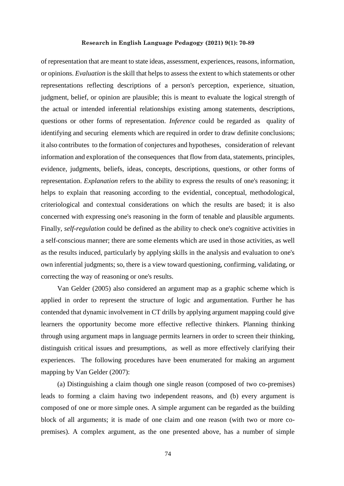of representation that are meant to state ideas, assessment, experiences, reasons, information, or opinions. *Evaluation* is the skill that helps to assess the extent to which statements or other representations reflecting descriptions of a person's perception, experience, situation, judgment, belief, or opinion are plausible; this is meant to evaluate the logical strength of the actual or intended inferential relationships existing among statements, descriptions, questions or other forms of representation. *Inference* could be regarded as quality of identifying and securing elements which are required in order to draw definite conclusions; it also contributes to the formation of conjectures and hypotheses, consideration of relevant information and exploration of the consequences that flow from data, statements, principles, evidence, judgments, beliefs, ideas, concepts, descriptions, questions, or other forms of representation. *Explanation* refers to the ability to express the results of one's reasoning; it helps to explain that reasoning according to the evidential, conceptual, methodological, criteriological and contextual considerations on which the results are based; it is also concerned with expressing one's reasoning in the form of tenable and plausible arguments. Finally, *self-regulation* could be defined as the ability to check one's cognitive activities in a self-conscious manner; there are some elements which are used in those activities, as well as the results induced, particularly by applying skills in the analysis and evaluation to one's own inferential judgments; so, there is a view toward questioning, confirming, validating, or correcting the way of reasoning or one's results.

Van Gelder (2005) also considered an argument map as a graphic scheme which is applied in order to represent the structure of logic and argumentation. Further he has contended that dynamic involvement in CT drills by applying argument mapping could give learners the opportunity become more effective reflective thinkers. Planning thinking through using argument maps in language permits learners in order to screen their thinking, distinguish critical issues and presumptions, as well as more effectively clarifying their experiences. The following procedures have been enumerated for making an argument mapping by Van Gelder (2007):

(a) Distinguishing a claim though one single reason (composed of two co-premises) leads to forming a claim having two independent reasons, and (b) every argument is composed of one or more simple ones. A simple argument can be regarded as the building block of all arguments; it is made of one claim and one reason (with two or more copremises). A complex argument, as the one presented above, has a number of simple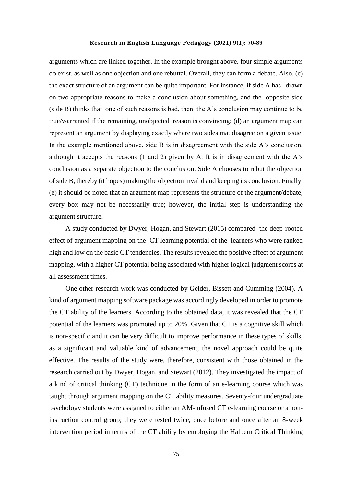arguments which are linked together. In the example brought above, four simple arguments do exist, as well as one objection and one rebuttal. Overall, they can form a debate. Also, (c) the exact structure of an argument can be quite important. For instance, if side A has drawn on two appropriate reasons to make a conclusion about something, and the opposite side (side B) thinks that one of such reasons is bad, then the A's conclusion may continue to be true/warranted if the remaining, unobjected reason is convincing; (d) an argument map can represent an argument by displaying exactly where two sides mat disagree on a given issue. In the example mentioned above, side B is in disagreement with the side A's conclusion, although it accepts the reasons  $(1 \text{ and } 2)$  given by A. It is in disagreement with the A's conclusion as a separate objection to the conclusion. Side A chooses to rebut the objection of side B, thereby (it hopes) making the objection invalid and keeping its conclusion. Finally, (e) it should be noted that an argument map represents the structure of the argument/debate; every box may not be necessarily true; however, the initial step is understanding the argument structure.

A study conducted by Dwyer, Hogan, and Stewart (2015) compared the deep-rooted effect of argument mapping on the CT learning potential of the learners who were ranked high and low on the basic CT tendencies. The results revealed the positive effect of argument mapping, with a higher CT potential being associated with higher logical judgment scores at all assessment times.

One other research work was conducted by Gelder, Bissett and Cumming (2004). A kind of argument mapping software package was accordingly developed in order to promote the CT ability of the learners. According to the obtained data, it was revealed that the CT potential of the learners was promoted up to 20%. Given that CT is a cognitive skill which is non-specific and it can be very difficult to improve performance in these types of skills, as a significant and valuable kind of advancement, the novel approach could be quite effective. The results of the study were, therefore, consistent with those obtained in the research carried out by Dwyer, Hogan, and Stewart (2012). They investigated the impact of a kind of critical thinking (CT) technique in the form of an e-learning course which was taught through argument mapping on the CT ability measures. Seventy-four undergraduate psychology students were assigned to either an AM-infused CT e-learning course or a noninstruction control group; they were tested twice, once before and once after an 8-week intervention period in terms of the CT ability by employing the Halpern Critical Thinking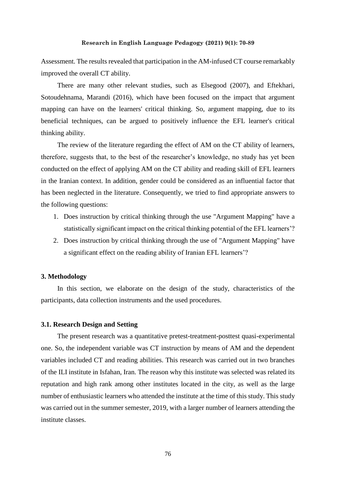Assessment. The results revealed that participation in the AM-infused CT course remarkably improved the overall CT ability.

There are many other relevant studies, such as Elsegood (2007), and Eftekhari, Sotoudehnama, Marandi (2016), which have been focused on the impact that argument mapping can have on the learners' critical thinking. So, argument mapping, due to its beneficial techniques, can be argued to positively influence the EFL learner's critical thinking ability.

The review of the literature regarding the effect of AM on the CT ability of learners, therefore, suggests that, to the best of the researcher's knowledge, no study has yet been conducted on the effect of applying AM on the CT ability and reading skill of EFL learners in the Iranian context. In addition, gender could be considered as an influential factor that has been neglected in the literature. Consequently, we tried to find appropriate answers to the following questions:

- 1. Does instruction by critical thinking through the use "Argument Mapping" have a statistically significant impact on the critical thinking potential of the EFL learners'?
- 2. Does instruction by critical thinking through the use of "Argument Mapping" have a significant effect on the reading ability of Iranian EFL learners'?

# **3. Methodology**

In this section, we elaborate on the design of the study, characteristics of the participants, data collection instruments and the used procedures.

#### **3.1. Research Design and Setting**

The present research was a quantitative pretest-treatment-posttest quasi-experimental one. So, the independent variable was CT instruction by means of AM and the dependent variables included CT and reading abilities. This research was carried out in two branches of the ILI institute in Isfahan, Iran. The reason why this institute was selected was related its reputation and high rank among other institutes located in the city, as well as the large number of enthusiastic learners who attended the institute at the time of this study. This study was carried out in the summer semester, 2019, with a larger number of learners attending the institute classes.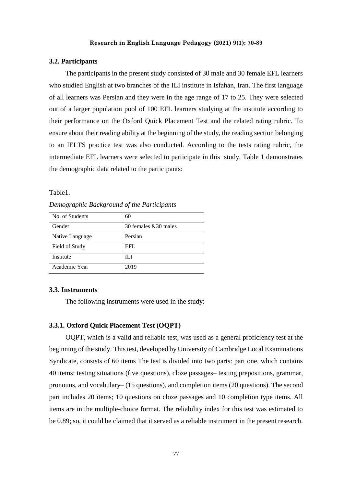## **3.2. Participants**

The participants in the present study consisted of 30 male and 30 female EFL learners who studied English at two branches of the ILI institute in Isfahan, Iran. The first language of all learners was Persian and they were in the age range of 17 to 25. They were selected out of a larger population pool of 100 EFL learners studying at the institute according to their performance on the Oxford Quick Placement Test and the related rating rubric. To ensure about their reading ability at the beginning of the study, the reading section belonging to an IELTS practice test was also conducted. According to the tests rating rubric, the intermediate EFL learners were selected to participate in this study. Table 1 demonstrates the demographic data related to the participants:

Table1.

*Demographic Background of the Participants* 

| No. of Students | 60                    |
|-----------------|-----------------------|
| Gender          | 30 females & 30 males |
| Native Language | Persian               |
| Field of Study  | EFL                   |
| Institute       | HЛ                    |
| Academic Year   | 2019                  |

## **3.3. Instruments**

The following instruments were used in the study:

# **3.3.1. Oxford Quick Placement Test (OQPT)**

OQPT, which is a valid and reliable test, was used as a general proficiency test at the beginning of the study. This test, developed by University of Cambridge Local Examinations Syndicate, consists of 60 items The test is divided into two parts: part one, which contains 40 items: testing situations (five questions), cloze passages– testing prepositions, grammar, pronouns, and vocabulary– (15 questions), and completion items (20 questions). The second part includes 20 items; 10 questions on cloze passages and 10 completion type items. All items are in the multiple-choice format. The reliability index for this test was estimated to be 0.89; so, it could be claimed that it served as a reliable instrument in the present research.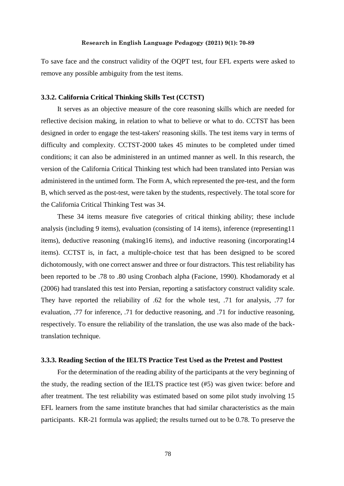To save face and the construct validity of the OQPT test, four EFL experts were asked to remove any possible ambiguity from the test items.

## **3.3.2. California Critical Thinking Skills Test (CCTST)**

It serves as an objective measure of the core reasoning skills which are needed for reflective decision making, in relation to what to believe or what to do. CCTST has been designed in order to engage the test-takers' reasoning skills. The test items vary in terms of difficulty and complexity. CCTST-2000 takes 45 minutes to be completed under timed conditions; it can also be administered in an untimed manner as well. In this research, the version of the California Critical Thinking test which had been translated into Persian was administered in the untimed form. The Form A, which represented the pre-test, and the form B, which served as the post-test, were taken by the students, respectively. The total score for the California Critical Thinking Test was 34.

These 34 items measure five categories of critical thinking ability; these include analysis (including 9 items), evaluation (consisting of 14 items), inference (representing11 items), deductive reasoning (making16 items), and inductive reasoning (incorporating14 items). CCTST is, in fact, a multiple-choice test that has been designed to be scored dichotomously, with one correct answer and three or four distractors. This test reliability has been reported to be .78 to .80 using Cronbach alpha (Facione, 1990). Khodamorady et al (2006) had translated this test into Persian, reporting a satisfactory construct validity scale. They have reported the reliability of .62 for the whole test, .71 for analysis, .77 for evaluation, .77 for inference, .71 for deductive reasoning, and .71 for inductive reasoning, respectively. To ensure the reliability of the translation, the use was also made of the backtranslation technique.

## **3.3.3. Reading Section of the IELTS Practice Test Used as the Pretest and Posttest**

For the determination of the reading ability of the participants at the very beginning of the study, the reading section of the IELTS practice test (#5) was given twice: before and after treatment. The test reliability was estimated based on some pilot study involving 15 EFL learners from the same institute branches that had similar characteristics as the main participants. KR-21 formula was applied; the results turned out to be 0.78. To preserve the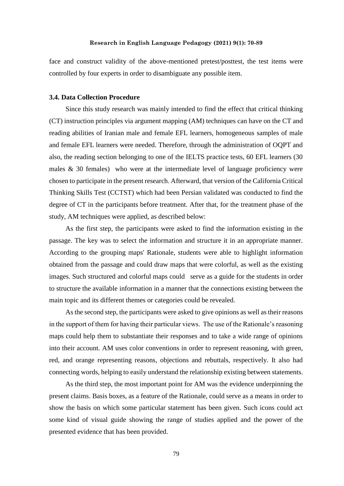face and construct validity of the above-mentioned pretest/posttest, the test items were controlled by four experts in order to disambiguate any possible item.

## **3.4. Data Collection Procedure**

Since this study research was mainly intended to find the effect that critical thinking (CT) instruction principles via argument mapping (AM) techniques can have on the CT and reading abilities of Iranian male and female EFL learners, homogeneous samples of male and female EFL learners were needed. Therefore, through the administration of OQPT and also, the reading section belonging to one of the IELTS practice tests, 60 EFL learners (30 males  $\&$  30 females) who were at the intermediate level of language proficiency were chosen to participate in the present research. Afterward, that version of the California Critical Thinking Skills Test (CCTST) which had been Persian validated was conducted to find the degree of CT in the participants before treatment. After that, for the treatment phase of the study, AM techniques were applied, as described below:

As the first step, the participants were asked to find the information existing in the passage. The key was to select the information and structure it in an appropriate manner. According to the grouping maps' Rationale, students were able to highlight information obtained from the passage and could draw maps that were colorful, as well as the existing images. Such structured and colorful maps could serve as a guide for the students in order to structure the available information in a manner that the connections existing between the main topic and its different themes or categories could be revealed.

As the second step, the participants were asked to give opinions as well as their reasons in the support of them for having their particular views. The use of the Rationale's reasoning maps could help them to substantiate their responses and to take a wide range of opinions into their account. AM uses color conventions in order to represent reasoning, with green, red, and orange representing reasons, objections and rebuttals, respectively. It also had connecting words, helping to easily understand the relationship existing between statements.

As the third step, the most important point for AM was the evidence underpinning the present claims. Basis boxes, as a feature of the Rationale, could serve as a means in order to show the basis on which some particular statement has been given. Such icons could act some kind of visual guide showing the range of studies applied and the power of the presented evidence that has been provided.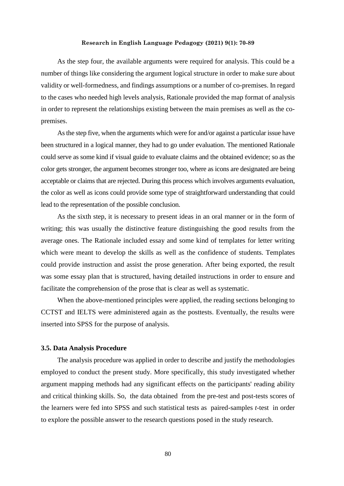As the step four, the available arguments were required for analysis. This could be a number of things like considering the argument logical structure in order to make sure about validity or well-formedness, and findings assumptions or a number of co-premises. In regard to the cases who needed high levels analysis, Rationale provided the map format of analysis in order to represent the relationships existing between the main premises as well as the copremises.

As the step five, when the arguments which were for and/or against a particular issue have been structured in a logical manner, they had to go under evaluation. The mentioned Rationale could serve as some kind if visual guide to evaluate claims and the obtained evidence; so as the color gets stronger, the argument becomes stronger too, where as icons are designated are being acceptable or claims that are rejected. During this process which involves arguments evaluation, the color as well as icons could provide some type of straightforward understanding that could lead to the representation of the possible conclusion.

As the sixth step, it is necessary to present ideas in an oral manner or in the form of writing; this was usually the distinctive feature distinguishing the good results from the average ones. The Rationale included essay and some kind of templates for letter writing which were meant to develop the skills as well as the confidence of students. Templates could provide instruction and assist the prose generation. After being exported, the result was some essay plan that is structured, having detailed instructions in order to ensure and facilitate the comprehension of the prose that is clear as well as systematic.

When the above-mentioned principles were applied, the reading sections belonging to CCTST and IELTS were administered again as the posttests. Eventually, the results were inserted into SPSS for the purpose of analysis.

#### **3.5. Data Analysis Procedure**

The analysis procedure was applied in order to describe and justify the methodologies employed to conduct the present study. More specifically, this study investigated whether argument mapping methods had any significant effects on the participants' reading ability and critical thinking skills. So, the data obtained from the pre-test and post-tests scores of the learners were fed into SPSS and such statistical tests as paired-samples *t*-test in order to explore the possible answer to the research questions posed in the study research.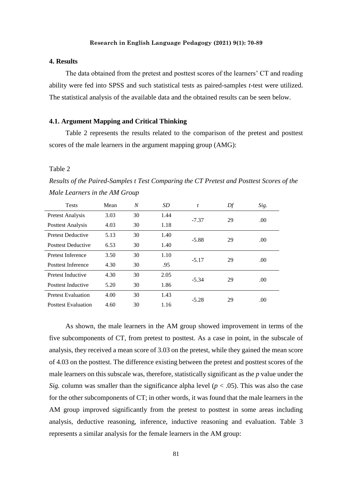# **4. Results**

The data obtained from the pretest and posttest scores of the learners' CT and reading ability were fed into SPSS and such statistical tests as paired-samples *t*-test were utilized. The statistical analysis of the available data and the obtained results can be seen below.

## **4.1. Argument Mapping and Critical Thinking**

Table 2 represents the results related to the comparison of the pretest and posttest scores of the male learners in the argument mapping group (AMG):

#### Table 2

*Results of the Paired-Samples t Test Comparing the CT Pretest and Posttest Scores of the Male Learners in the AM Group*

| <b>Tests</b>               | Mean | N  | SD.  | t       | Df | Sig. |
|----------------------------|------|----|------|---------|----|------|
| <b>Pretest Analysis</b>    | 3.03 | 30 | 1.44 | $-7.37$ | 29 | .00  |
| Posttest Analysis          | 4.03 | 30 | 1.18 |         |    |      |
| <b>Pretest Deductive</b>   | 5.13 | 30 | 1.40 | $-5.88$ | 29 | .00  |
| <b>Posttest Deductive</b>  | 6.53 | 30 | 1.40 |         |    |      |
| <b>Pretest Inference</b>   | 3.50 | 30 | 1.10 | $-5.17$ | 29 | .00  |
| <b>Posttest Inference</b>  | 4.30 | 30 | .95  |         |    |      |
| Pretest Inductive          | 4.30 | 30 | 2.05 | $-5.34$ | 29 | .00  |
| Posttest Inductive         | 5.20 | 30 | 1.86 |         |    |      |
| <b>Pretest Evaluation</b>  | 4.00 | 30 | 1.43 | $-5.28$ | 29 |      |
| <b>Posttest Evaluation</b> | 4.60 | 30 | 1.16 |         |    | .00  |

As shown, the male learners in the AM group showed improvement in terms of the five subcomponents of CT, from pretest to posttest. As a case in point, in the subscale of analysis, they received a mean score of 3.03 on the pretest, while they gained the mean score of 4.03 on the posttest. The difference existing between the pretest and posttest scores of the male learners on this subscale was, therefore, statistically significant as the *p* value under the *Sig.* column was smaller than the significance alpha level ( $p < .05$ ). This was also the case for the other subcomponents of CT; in other words, it was found that the male learners in the AM group improved significantly from the pretest to posttest in some areas including analysis, deductive reasoning, inference, inductive reasoning and evaluation. Table 3 represents a similar analysis for the female learners in the AM group: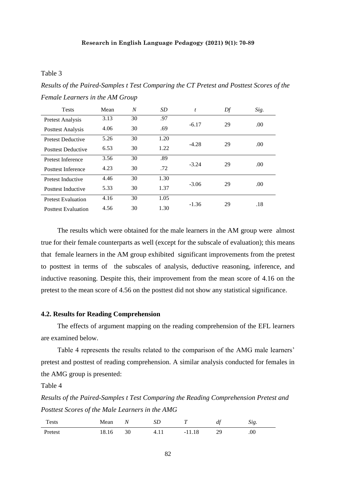# Table 3

*Results of the Paired-Samples t Test Comparing the CT Pretest and Posttest Scores of the Female Learners in the AM Group*

| <b>Tests</b>               | Mean | N  | <b>SD</b> | t       | Df | Sig. |
|----------------------------|------|----|-----------|---------|----|------|
| <b>Pretest Analysis</b>    | 3.13 | 30 | .97       |         |    |      |
| Posttest Analysis          | 4.06 | 30 | .69       | $-6.17$ | 29 | .00. |
| <b>Pretest Deductive</b>   | 5.26 | 30 | 1.20      | $-4.28$ | 29 | .00  |
| <b>Posttest Deductive</b>  | 6.53 | 30 | 1.22      |         |    |      |
| <b>Pretest Inference</b>   | 3.56 | 30 | .89       |         |    |      |
| <b>Posttest Inference</b>  | 4.23 | 30 | .72       | $-3.24$ | 29 | .00. |
| Pretest Inductive          | 4.46 | 30 | 1.30      | $-3.06$ | 29 | .00. |
| Posttest Inductive         | 5.33 | 30 | 1.37      |         |    |      |
| <b>Pretest Evaluation</b>  | 4.16 | 30 | 1.05      | $-1.36$ | 29 | .18  |
| <b>Posttest Evaluation</b> | 4.56 | 30 | 1.30      |         |    |      |

The results which were obtained for the male learners in the AM group were almost true for their female counterparts as well (except for the subscale of evaluation); this means that female learners in the AM group exhibited significant improvements from the pretest to posttest in terms of the subscales of analysis, deductive reasoning, inference, and inductive reasoning. Despite this, their improvement from the mean score of 4.16 on the pretest to the mean score of 4.56 on the posttest did not show any statistical significance.

#### **4.2. Results for Reading Comprehension**

The effects of argument mapping on the reading comprehension of the EFL learners are examined below.

Table 4 represents the results related to the comparison of the AMG male learners' pretest and posttest of reading comprehension. A similar analysis conducted for females in the AMG group is presented:

# Table 4

*Results of the Paired-Samples t Test Comparing the Reading Comprehension Pretest and Posttest Scores of the Male Learners in the AMG*

| <b>Tests</b> | Mean  | Ν  | عد     | $\mathbf{r}$<br>-           | at | $\Delta l$ <i>g</i> . |
|--------------|-------|----|--------|-----------------------------|----|-----------------------|
| Pretest      | 18.16 | 30 | T. 1 1 | <b>C</b><br>11.10<br>$\sim$ | 29 | .00                   |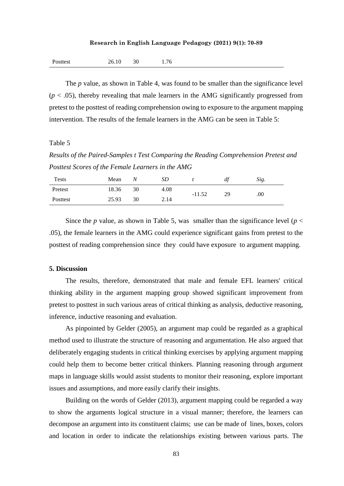| 26.10<br>Posttest |  | 1.76 |
|-------------------|--|------|
|-------------------|--|------|

The *p* value, as shown in Table 4, was found to be smaller than the significance level  $(p < .05)$ , thereby revealing that male learners in the AMG significantly progressed from pretest to the posttest of reading comprehension owing to exposure to the argument mapping intervention. The results of the female learners in the AMG can be seen in Table 5:

# Table 5

*Results of the Paired-Samples t Test Comparing the Reading Comprehension Pretest and Posttest Scores of the Female Learners in the AMG* 

| Tests    | Mean  | Ν  | SD   |          | df        | Sig. |
|----------|-------|----|------|----------|-----------|------|
| Pretest  | 18.36 | 30 | 4.08 | $-11.52$ | 29<br>.00 |      |
| Posttest | 25.93 | 30 | 2.14 |          |           |      |

Since the *p* value, as shown in Table 5, was smaller than the significance level ( $p <$ .05), the female learners in the AMG could experience significant gains from pretest to the posttest of reading comprehension since they could have exposure to argument mapping.

## **5. Discussion**

The results, therefore, demonstrated that male and female EFL learners' critical thinking ability in the argument mapping group showed significant improvement from pretest to posttest in such various areas of critical thinking as analysis, deductive reasoning, inference, inductive reasoning and evaluation.

As pinpointed by Gelder (2005), an argument map could be regarded as a graphical method used to illustrate the structure of reasoning and argumentation. He also argued that deliberately engaging students in critical thinking exercises by applying argument mapping could help them to become better critical thinkers. Planning reasoning through argument maps in language skills would assist students to monitor their reasoning, explore important issues and assumptions, and more easily clarify their insights.

Building on the words of Gelder (2013), argument mapping could be regarded a way to show the arguments logical structure in a visual manner; therefore, the learners can decompose an argument into its constituent claims; use can be made of lines, boxes, colors and location in order to indicate the relationships existing between various parts. The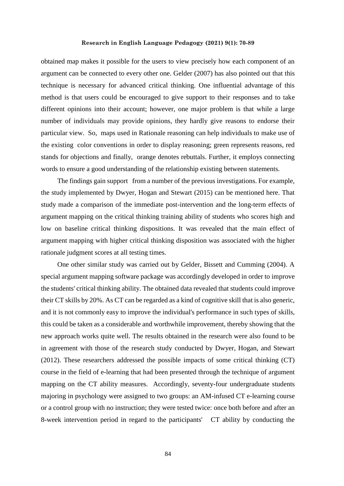obtained map makes it possible for the users to view precisely how each component of an argument can be connected to every other one. Gelder (2007) has also pointed out that this technique is necessary for advanced critical thinking. One influential advantage of this method is that users could be encouraged to give support to their responses and to take different opinions into their account; however, one major problem is that while a large number of individuals may provide opinions, they hardly give reasons to endorse their particular view. So, maps used in Rationale reasoning can help individuals to make use of the existing color conventions in order to display reasoning; green represents reasons, red stands for objections and finally, orange denotes rebuttals. Further, it employs connecting words to ensure a good understanding of the relationship existing between statements.

The findings gain support from a number of the previous investigations. For example, the study implemented by Dwyer, Hogan and Stewart (2015) can be mentioned here. That study made a comparison of the immediate post-intervention and the long-term effects of argument mapping on the critical thinking training ability of students who scores high and low on baseline critical thinking dispositions. It was revealed that the main effect of argument mapping with higher critical thinking disposition was associated with the higher rationale judgment scores at all testing times.

One other similar study was carried out by Gelder, Bissett and Cumming (2004). A special argument mapping software package was accordingly developed in order to improve the students' critical thinking ability. The obtained data revealed that students could improve their CT skills by 20%. As CT can be regarded as a kind of cognitive skill that is also generic, and it is not commonly easy to improve the individual's performance in such types of skills, this could be taken as a considerable and worthwhile improvement, thereby showing that the new approach works quite well. The results obtained in the research were also found to be in agreement with those of the research study conducted by Dwyer, Hogan, and Stewart (2012). These researchers addressed the possible impacts of some critical thinking (CT) course in the field of e-learning that had been presented through the technique of argument mapping on the CT ability measures. Accordingly, seventy-four undergraduate students majoring in psychology were assigned to two groups: an AM-infused CT e-learning course or a control group with no instruction; they were tested twice: once both before and after an 8-week intervention period in regard to the participants' CT ability by conducting the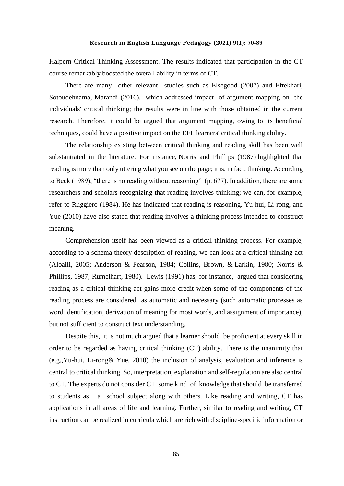Halpern Critical Thinking Assessment. The results indicated that participation in the CT course remarkably boosted the overall ability in terms of CT.

There are many other relevant studies such as Elsegood (2007) and Eftekhari, Sotoudehnama, Marandi (2016), which addressed impact of argument mapping on the individuals' critical thinking; the results were in line with those obtained in the current research. Therefore, it could be argued that argument mapping, owing to its beneficial techniques, could have a positive impact on the EFL learners' critical thinking ability.

The relationship existing between critical thinking and reading skill has been well substantiated in the literature. For instance, Norris and Phillips (1987) highlighted that reading is more than only uttering what you see on the page; it is, in fact, thinking. According to Beck (1989), "there is no reading without reasoning" (p. 677). In addition, there are some researchers and scholars recognizing that reading involves thinking; we can, for example, refer to Ruggiero (1984). He has indicated that reading is reasoning. Yu-hui, Li-rong, and Yue (2010) have also stated that reading involves a thinking process intended to construct meaning.

Comprehension itself has been viewed as a critical thinking process. For example, according to a schema theory description of reading, we can look at a critical thinking act (Aloaili, 2005; Anderson & Pearson, 1984; Collins, Brown, & Larkin, 1980; Norris & Phillips, 1987; Rumelhart, 1980). Lewis (1991) has, for instance, argued that considering reading as a critical thinking act gains more credit when some of the components of the reading process are considered as automatic and necessary (such automatic processes as word identification, derivation of meaning for most words, and assignment of importance), but not sufficient to construct text understanding.

Despite this, it is not much argued that a learner should be proficient at every skill in order to be regarded as having critical thinking (CT) ability. There is the unanimity that (e.g.,Yu-hui, Li-rong& Yue, 2010) the inclusion of analysis, evaluation and inference is central to critical thinking. So, interpretation, explanation and self-regulation are also central to CT. The experts do not consider CT some kind of knowledge that should be transferred to students as a school subject along with others. Like reading and writing, CT has applications in all areas of life and learning. Further, similar to reading and writing, CT instruction can be realized in curricula which are rich with discipline-specific information or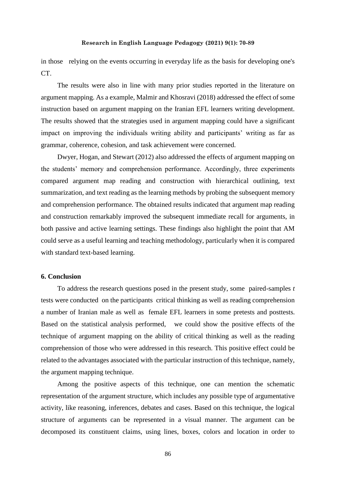in those relying on the events occurring in everyday life as the basis for developing one's CT.

The results were also in line with many prior studies reported in the literature on argument mapping. As a example, Malmir and Khosravi (2018) addressed the effect of some instruction based on argument mapping on the Iranian EFL learners writing development. The results showed that the strategies used in argument mapping could have a significant impact on improving the individuals writing ability and participants' writing as far as grammar, coherence, cohesion, and task achievement were concerned.

Dwyer, Hogan, and Stewart (2012) also addressed the effects of argument mapping on the students' memory and comprehension performance. Accordingly, three experiments compared argument map reading and construction with hierarchical outlining, text summarization, and text reading as the learning methods by probing the subsequent memory and comprehension performance. The obtained results indicated that argument map reading and construction remarkably improved the subsequent immediate recall for arguments, in both passive and active learning settings. These findings also highlight the point that AM could serve as a useful learning and teaching methodology, particularly when it is compared with standard text-based learning.

# **6. Conclusion**

To address the research questions posed in the present study, some paired-samples *t* tests were conducted on the participants critical thinking as well as reading comprehension a number of Iranian male as well as female EFL learners in some pretests and posttests. Based on the statistical analysis performed, we could show the positive effects of the technique of argument mapping on the ability of critical thinking as well as the reading comprehension of those who were addressed in this research. This positive effect could be related to the advantages associated with the particular instruction of this technique, namely, the argument mapping technique.

Among the positive aspects of this technique, one can mention the schematic representation of the argument structure, which includes any possible type of argumentative activity, like reasoning, inferences, debates and cases. Based on this technique, the logical structure of arguments can be represented in a visual manner. The argument can be decomposed its constituent claims, using lines, boxes, colors and location in order to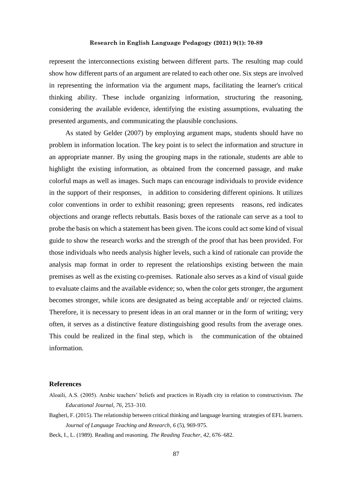represent the interconnections existing between different parts. The resulting map could show how different parts of an argument are related to each other one. Six steps are involved in representing the information via the argument maps, facilitating the learner's critical thinking ability. These include organizing information, structuring the reasoning, considering the available evidence, identifying the existing assumptions, evaluating the presented arguments, and communicating the plausible conclusions.

As stated by Gelder (2007) by employing argument maps, students should have no problem in information location. The key point is to select the information and structure in an appropriate manner. By using the grouping maps in the rationale, students are able to highlight the existing information, as obtained from the concerned passage, and make colorful maps as well as images. Such maps can encourage individuals to provide evidence in the support of their responses, in addition to considering different opinions. It utilizes color conventions in order to exhibit reasoning; green represents reasons, red indicates objections and orange reflects rebuttals. Basis boxes of the rationale can serve as a tool to probe the basis on which a statement has been given. The icons could act some kind of visual guide to show the research works and the strength of the proof that has been provided. For those individuals who needs analysis higher levels, such a kind of rationale can provide the analysis map format in order to represent the relationships existing between the main premises as well as the existing co-premises. Rationale also serves as a kind of visual guide to evaluate claims and the available evidence; so, when the color gets stronger, the argument becomes stronger, while icons are designated as being acceptable and/ or rejected claims. Therefore, it is necessary to present ideas in an oral manner or in the form of writing; very often, it serves as a distinctive feature distinguishing good results from the average ones. This could be realized in the final step, which is the communication of the obtained information.

### **References**

Bagheri, F. (2015). The relationship between critical thinking and language learning strategies of EFL learners. *Journal of Language Teaching and Research*, *6* (5), 969-975.

Beck, I., L. (1989). Reading and reasoning. *The Reading Teacher, 42*, 676–682.

Aloaili, A.S. (2005). Arabic teachers' beliefs and practices in Riyadh city in relation to constructivism. *The Educational Journal, 76*, 253–310.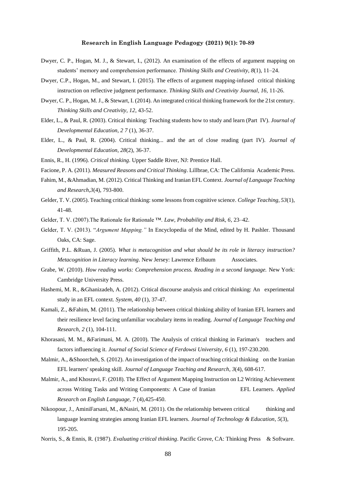- Dwyer, C. P., Hogan, M. J., & Stewart, I., (2012). An examination of the effects of argument mapping on students' memory and comprehension performance. *Thinking Skills and Creativity*, *8*(1), 11–24.
- Dwyer, C.P., Hogan, M., and Stewart, I. (2015). The effects of argument mapping-infused critical thinking instruction on reflective judgment performance. *Thinking Skills and Creativity Journal, 16,* 11-26.
- Dwyer, C. P., Hogan, M. J., & Stewart, I. (2014). An integrated critical thinking framework for the 21st century. *Thinking Skills and Creativity, 12*, 43-52.
- Elder, L., & Paul, R. (2003). Critical thinking: Teaching students how to study and learn (Part IV). *Journal of Developmental Education, 2 7* (1), 36-37.
- Elder, L., & Paul, R. (2004). Critical thinking... and the art of close reading (part IV). *Journal of Developmental Education, 28*(2), 36-37.
- Ennis, R., H. (1996). *Critical thinking*. Upper Saddle River, NJ: Prentice Hall.
- Facione, P. A. (2011). *Measured Reasons and Critical Thinking*. Lillbrae, CA: The California Academic Press.
- Fahim, M., &Ahmadian, M. (2012). Critical Thinking and Iranian EFL Context. *Journal of Language Teaching and Research,3*(4), 793-800.
- Gelder, T. V. (2005). Teaching critical thinking: some lessons from cognitive science*. College Teaching, 53*(1), 41-48.
- Gelder, T. V. (2007).The Rationale for Rationale ™. *Law, Probability and Risk, 6*, 23–42.
- Gelder, T. V. (2013). "*Argument Mapping."* In Encyclopedia of the Mind, edited by H. Pashler. Thousand Oaks, CA: Sage.
- Griffith, P.L. &Ruan, J. (2005). *What is metacognition and what should be its role in literacy instruction? Metacognition in Literacy learning*. New Jersey: Lawrence Erlbaum Associates.
- Grabe, W. (2010). *How reading works: Comprehension process. Reading in a second language.* New York: Cambridge University Press.
- Hashemi, M. R., &Ghanizadeh, A. (2012). Critical discourse analysis and critical thinking: An experimental study in an EFL context. *System, 40* (1), 37-47.
- Kamali, Z., &Fahim, M. (2011). The relationship between critical thinking ability of Iranian EFL learners and their resilience level facing unfamiliar vocabulary items in reading*. Journal of Language Teaching and Research, 2* (1), 104-111.
- Khorasani, M. M., &Farimani, M. A. (2010). The Analysis of critical thinking in Fariman's teachers and factors influencing it. *Journal of Social Science of Ferdowsi University*, *6* (1), 197-230.200.
- Malmir, A., &Shoorcheh, S. (2012). An investigation of the impact of teaching critical thinking on the Iranian EFL learners' speaking skill. *Journal of Language Teaching and Research*, *3*(4), 608-617.
- Malmir, A., and Khosravi, F. (2018). The Effect of Argument Mapping Instruction on L2 Writing Achievement across Writing Tasks and Writing Components: A Case of Iranian EFL Learners. *Applied Research on English Language, 7* (4),425-450.
- Nikoopour, J., AminiFarsani, M., &Nasiri, M. (2011). On the relationship between critical thinking and language learning strategies among Iranian EFL learners. *Journal of Technology & Education*, *5*(3), 195-205.
- Norris, S., & Ennis, R. (1987). *Evaluating critical thinking*. Pacific Grove, CA: Thinking Press & Software.